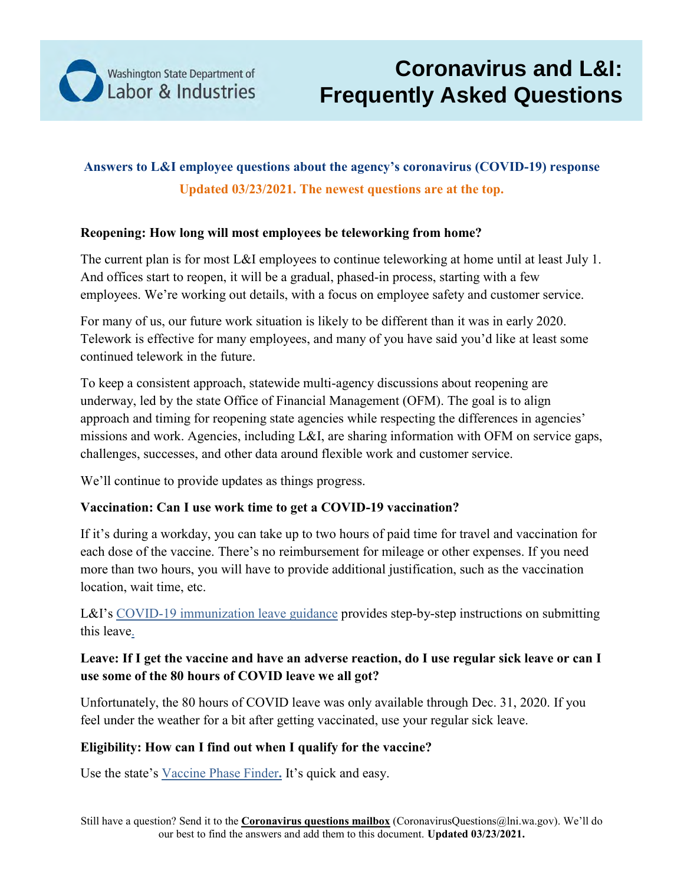

# **Answers to L&I employee questions about the agency's coronavirus (COVID-19) response Updated 03/23/2021. The newest questions are at the top.**

#### **Reopening: How long will most employees be teleworking from home?**

The current plan is for most L&I employees to continue teleworking at home until at least July 1. And offices start to reopen, it will be a gradual, phased-in process, starting with a few employees. We're working out details, with a focus on employee safety and customer service.

For many of us, our future work situation is likely to be different than it was in early 2020. Telework is effective for many employees, and many of you have said you'd like at least some continued telework in the future.

To keep a consistent approach, statewide multi-agency discussions about reopening are underway, led by the state Office of Financial Management (OFM). The goal is to align approach and timing for reopening state agencies while respecting the differences in agencies' missions and work. Agencies, including L&I, are sharing information with OFM on service gaps, challenges, successes, and other data around flexible work and customer service.

We'll continue to provide updates as things progress.

### **Vaccination: Can I use work time to get a COVID-19 vaccination?**

If it's during a workday, you can take up to two hours of paid time for travel and vaccination for each dose of the vaccine. There's no reimbursement for mileage or other expenses. If you need more than two hours, you will have to provide additional justification, such as the vaccination location, wait time, etc.

L&I's COVID-19 immunization leave guidance [provides step-by-step instructions on submitting](http://inside.lni.wa.gov/OHR/Documents/COVIDVaccinationLeaveGuidance030821.pdf) [this leave.](http://inside.lni.wa.gov/OHR/Documents/COVIDVaccinationLeaveGuidance030821.pdf)

### **Leave: If I get the vaccine and have an adverse reaction, do I use regular sick leave or can I use some of the 80 hours of COVID leave we all got?**

Unfortunately, the 80 hours of COVID leave was only available through Dec. 31, 2020. If you feel under the weather for a bit after getting vaccinated, use your regular sick leave.

### **Eligibility: How can I find out when I qualify for the vaccine?**

Use the state's [Vaccine Phase Finder](https://form.findyourphasewa.org/210118771253954)**.** It's quick and easy.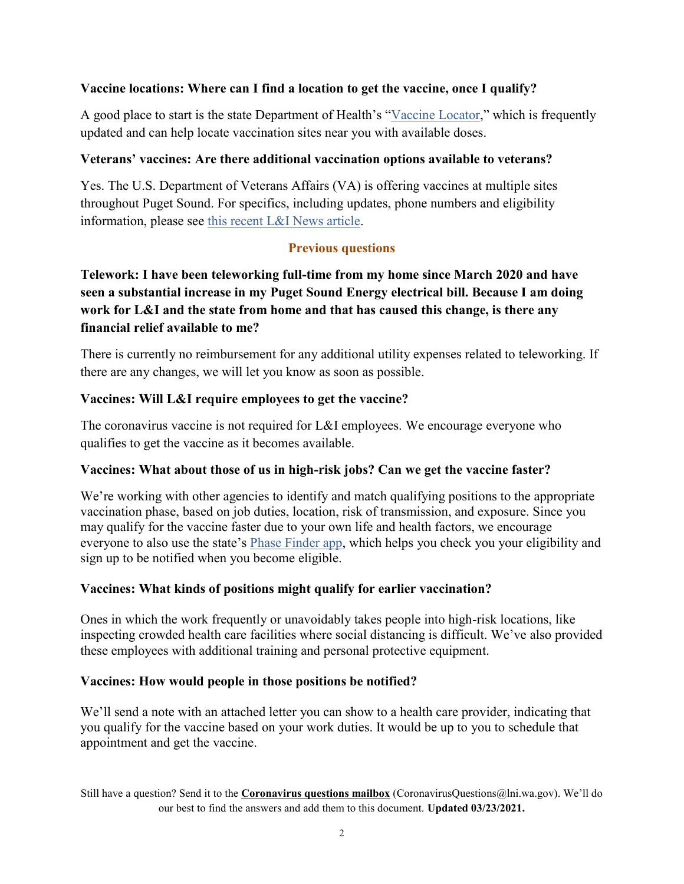#### **Vaccine locations: Where can I find a location to get the vaccine, once I qualify?**

A good place to start is the state Department of Health's ["Vaccine Locator,](https://vaccinelocator.doh.wa.gov/)" which is frequently updated and can help locate vaccination sites near you with available doses.

#### **Veterans' vaccines: Are there additional vaccination options available to veterans?**

Yes. The U.S. Department of Veterans Affairs (VA) is offering vaccines at multiple sites throughout Puget Sound. For specifics, including updates, phone numbers and eligibility information, please see [this recent L&I News article.](http://inside.lni.wa.gov/apps/news/story.asp?id=43068&cat=1)

# **Previous questions**

# **Telework: I have been teleworking full-time from my home since March 2020 and have seen a substantial increase in my Puget Sound Energy electrical bill. Because I am doing work for L&I and the state from home and that has caused this change, is there any financial relief available to me?**

There is currently no reimbursement for any additional utility expenses related to teleworking. If there are any changes, we will let you know as soon as possible.

#### **Vaccines: Will L&I require employees to get the vaccine?**

The coronavirus vaccine is not required for L&I employees. We encourage everyone who qualifies to get the vaccine as it becomes available.

#### **Vaccines: What about those of us in high-risk jobs? Can we get the vaccine faster?**

We're working with other agencies to identify and match qualifying positions to the appropriate vaccination phase, based on job duties, location, risk of transmission, and exposure. Since you may qualify for the vaccine faster due to your own life and health factors, we encourage everyone to also use the state's [Phase Finder app,](https://form.findyourphasewa.org/) which helps you check you your eligibility and sign up to be notified when you become eligible.

### **Vaccines: What kinds of positions might qualify for earlier vaccination?**

Ones in which the work frequently or unavoidably takes people into high-risk locations, like inspecting crowded health care facilities where social distancing is difficult. We've also provided these employees with additional training and personal protective equipment.

#### **Vaccines: How would people in those positions be notified?**

We'll send a note with an attached letter you can show to a health care provider, indicating that you qualify for the vaccine based on your work duties. It would be up to you to schedule that appointment and get the vaccine.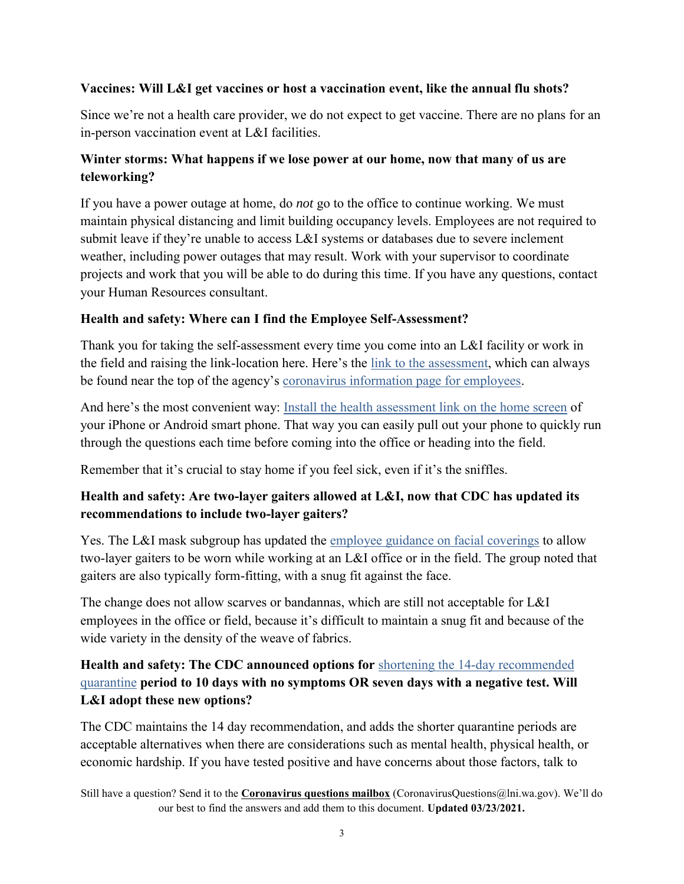#### **Vaccines: Will L&I get vaccines or host a vaccination event, like the annual flu shots?**

Since we're not a health care provider, we do not expect to get vaccine. There are no plans for an in-person vaccination event at L&I facilities.

# **Winter storms: What happens if we lose power at our home, now that many of us are teleworking?**

If you have a power outage at home, do *not* go to the office to continue working. We must maintain physical distancing and limit building occupancy levels. Employees are not required to submit leave if they're unable to access L&I systems or databases due to severe inclement weather, including power outages that may result. Work with your supervisor to coordinate projects and work that you will be able to do during this time. If you have any questions, contact your Human Resources consultant.

#### **Health and safety: Where can I find the Employee Self-Assessment?**

Thank you for taking the self-assessment every time you come into an L&I facility or work in the field and raising the link-location here. Here's the [link to the assessment,](https://secure.lni.wa.gov/covid_questionnaire/#/) which can always be found near the top of the agency's [coronavirus information page for employees.](http://inside.lni.wa.gov/apps/wiki/detail.asp?id=268)

And here's the most convenient way: [Install the health assessment link on the home screen](https://lni.wa.gov/agency/_docs/installhealthassessmenticonhomescreen.pdf) of your iPhone or Android smart phone. That way you can easily pull out your phone to quickly run through the questions each time before coming into the office or heading into the field.

Remember that it's crucial to stay home if you feel sick, even if it's the sniffles.

### **Health and safety: Are two-layer gaiters allowed at L&I, now that CDC has updated its recommendations to include two-layer gaiters?**

Yes. The L&I mask subgroup has updated the [employee guidance on facial coverings](http://inside.lni.wa.gov/Misc/docs/LNIapprovedFaceMasks.pdf) to allow two-layer gaiters to be worn while working at an L&I office or in the field. The group noted that gaiters are also typically form-fitting, with a snug fit against the face.

The change does not allow scarves or bandannas, which are still not acceptable for L&I employees in the office or field, because it's difficult to maintain a snug fit and because of the wide variety in the density of the weave of fabrics.

# **Health and safety: The CDC announced options for** [shortening the 14-day recommended](https://www.cdc.gov/coronavirus/2019-ncov/more/scientific-brief-options-to-reduce-quarantine.html)  [quarantine](https://www.cdc.gov/coronavirus/2019-ncov/more/scientific-brief-options-to-reduce-quarantine.html) **period to 10 days with no symptoms OR seven days with a negative test. Will L&I adopt these new options?**

The CDC maintains the 14 day recommendation, and adds the shorter quarantine periods are acceptable alternatives when there are considerations such as mental health, physical health, or economic hardship. If you have tested positive and have concerns about those factors, talk to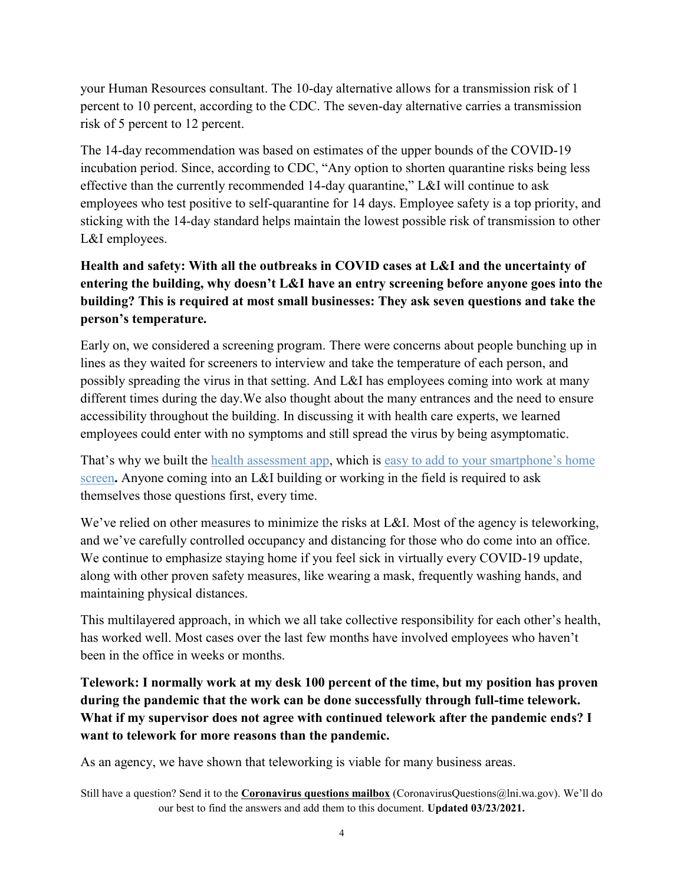your Human Resources consultant. The 10-day alternative allows for a transmission risk of 1 percent to 10 percent, according to the CDC. The seven-day alternative carries a transmission risk of 5 percent to 12 percent.

The 14-day recommendation was based on estimates of the upper bounds of the COVID-19 incubation period. Since, according to CDC, "Any option to shorten quarantine risks being less effective than the currently recommended 14-day quarantine," L&I will continue to ask employees who test positive to self-quarantine for 14 days. Employee safety is a top priority, and sticking with the 14-day standard helps maintain the lowest possible risk of transmission to other L&I employees.

**Health and safety: With all the outbreaks in COVID cases at L&I and the uncertainty of entering the building, why doesn't L&I have an entry screening before anyone goes into the building? This is required at most small businesses: They ask seven questions and take the person's temperature.**

Early on, we considered a screening program. There were concerns about people bunching up in lines as they waited for screeners to interview and take the temperature of each person, and possibly spreading the virus in that setting. And L&I has employees coming into work at many different times during the day.We also thought about the many entrances and the need to ensure accessibility throughout the building. In discussing it with health care experts, we learned employees could enter with no symptoms and still spread the virus by being asymptomatic.

That's why we built the [health assessment app,](https://secure.lni.wa.gov/covid_questionnaire/#/) which is easy to add to your smartphone's home [screen](https://lni.wa.gov/agency/_docs/installhealthassessmenticonhomescreen.pdf)**.** Anyone coming into an L&I building or working in the field is required to ask themselves those questions first, every time.

We've relied on other measures to minimize the risks at L&I. Most of the agency is teleworking, and we've carefully controlled occupancy and distancing for those who do come into an office. We continue to emphasize staying home if you feel sick in virtually every COVID-19 update, along with other proven safety measures, like wearing a mask, frequently washing hands, and maintaining physical distances.

This multilayered approach, in which we all take collective responsibility for each other's health, has worked well. Most cases over the last few months have involved employees who haven't been in the office in weeks or months.

**Telework: I normally work at my desk 100 percent of the time, but my position has proven during the pandemic that the work can be done successfully through full-time telework. What if my supervisor does not agree with continued telework after the pandemic ends? I want to telework for more reasons than the pandemic.**

As an agency, we have shown that teleworking is viable for many business areas.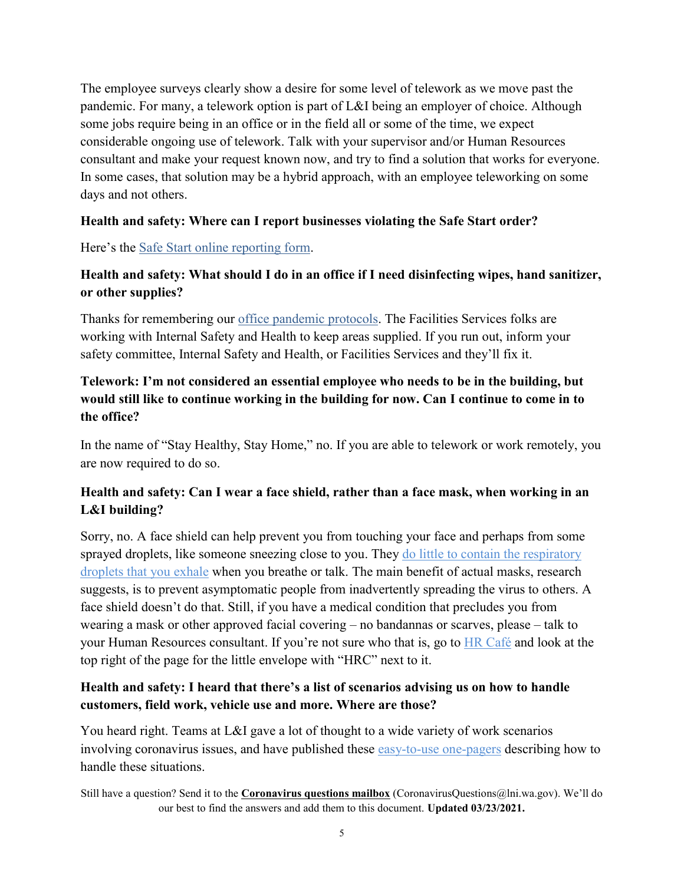The employee surveys clearly show a desire for some level of telework as we move past the pandemic. For many, a telework option is part of L&I being an employer of choice. Although some jobs require being in an office or in the field all or some of the time, we expect considerable ongoing use of telework. Talk with your supervisor and/or Human Resources consultant and make your request known now, and try to find a solution that works for everyone. In some cases, that solution may be a hybrid approach, with an employee teleworking on some days and not others.

#### **Health and safety: Where can I report businesses violating the Safe Start order?**

Here's the [Safe Start online reporting form.](https://coronavirus.wa.gov/report-safe-start-violation)

# **Health and safety: What should I do in an office if I need disinfecting wipes, hand sanitizer, or other supplies?**

Thanks for remembering our [office pandemic protocols.](http://inside.lni.wa.gov/Misc/Docs/OfficeWorkEnvironmentProtocols.pdf) The Facilities Services folks are working with Internal Safety and Health to keep areas supplied. If you run out, inform your safety committee, Internal Safety and Health, or Facilities Services and they'll fix it.

# **Telework: I'm not considered an essential employee who needs to be in the building, but would still like to continue working in the building for now. Can I continue to come in to the office?**

In the name of "Stay Healthy, Stay Home," no. If you are able to telework or work remotely, you are now required to do so.

# **Health and safety: Can I wear a face shield, rather than a face mask, when working in an L&I building?**

Sorry, no. A face shield can help prevent you from touching your face and perhaps from some sprayed droplets, like someone sneezing close to you. They [do little to contain the respiratory](https://www.lni.wa.gov/agency/outreach/coronavirus-covid-19-worker-face-covering-and-mask-requirements-questions)  [droplets that you exhale](https://www.lni.wa.gov/agency/outreach/coronavirus-covid-19-worker-face-covering-and-mask-requirements-questions) when you breathe or talk. The main benefit of actual masks, research suggests, is to prevent asymptomatic people from inadvertently spreading the virus to others. A face shield doesn't do that. Still, if you have a medical condition that precludes you from wearing a mask or other approved facial covering – no bandannas or scarves, please – talk to your Human Resources consultant. If you're not sure who that is, go to **HR** Café and look at the top right of the page for the little envelope with "HRC" next to it.

### **Health and safety: I heard that there's a list of scenarios advising us on how to handle customers, field work, vehicle use and more. Where are those?**

You heard right. Teams at L&I gave a lot of thought to a wide variety of work scenarios involving coronavirus issues, and have published these [easy-to-use one-pagers](http://inside.lni.wa.gov/apps/news/story.asp?id=40476&cat=1) describing how to handle these situations.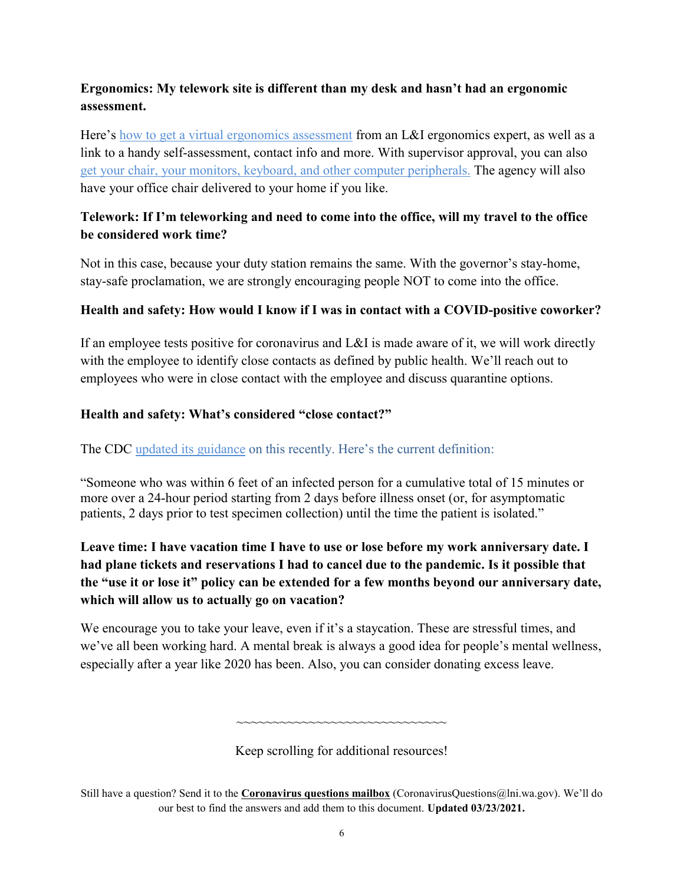## **Ergonomics: My telework site is different than my desk and hasn't had an ergonomic assessment.**

Here's [how to get a virtual ergonomics assessment](http://inside.lni.wa.gov/apps/news/story.asp?id=40443&cat=1) from an L&I ergonomics expert, as well as a link to a handy self-assessment, contact info and more. With supervisor approval, you can also [get your chair, your monitors, keyboard,](http://inside.lni.wa.gov/apps/news/story.asp?id=40538&cat=1) and other computer peripherals. The agency will also have your office chair delivered to your home if you like.

### **Telework: If I'm teleworking and need to come into the office, will my travel to the office be considered work time?**

Not in this case, because your duty station remains the same. With the governor's stay-home, stay-safe proclamation, we are strongly encouraging people NOT to come into the office.

#### **Health and safety: How would I know if I was in contact with a COVID-positive coworker?**

If an employee tests positive for coronavirus and L&I is made aware of it, we will work directly with the employee to identify close contacts as defined by public health. We'll reach out to employees who were in close contact with the employee and discuss quarantine options.

#### **Health and safety: What's considered "close contact?"**

#### The CDC [updated its guidance](https://www.cdc.gov/coronavirus/2019-ncov/php/contact-tracing/contact-tracing-plan/appendix.html#contact) on this recently. Here's the current definition:

"Someone who was within 6 feet of an infected person for a cumulative total of 15 minutes or more over a 24-hour period starting from 2 days before illness onset (or, for asymptomatic patients, 2 days prior to test specimen collection) until the time the patient is isolated."

# **Leave time: I have vacation time I have to use or lose before my work anniversary date. I had plane tickets and reservations I had to cancel due to the pandemic. Is it possible that the "use it or lose it" policy can be extended for a few months beyond our anniversary date, which will allow us to actually go on vacation?**

We encourage you to take your leave, even if it's a staycation. These are stressful times, and we've all been working hard. A mental break is always a good idea for people's mental wellness, especially after a year like 2020 has been. Also, you can consider donating excess leave.

Keep scrolling for additional resources!

~~~~~~~~~~~~~~~~~~~~~~~~~~~~~

Still have a question? Send it to the **[Coronavirus questions mailbox](mailto:coronavirusquestions@lni.wa.gov)** (CoronavirusQuestions@lni.wa.gov). We'll do our best to find the answers and add them to this document. **Updated 03/23/2021.**